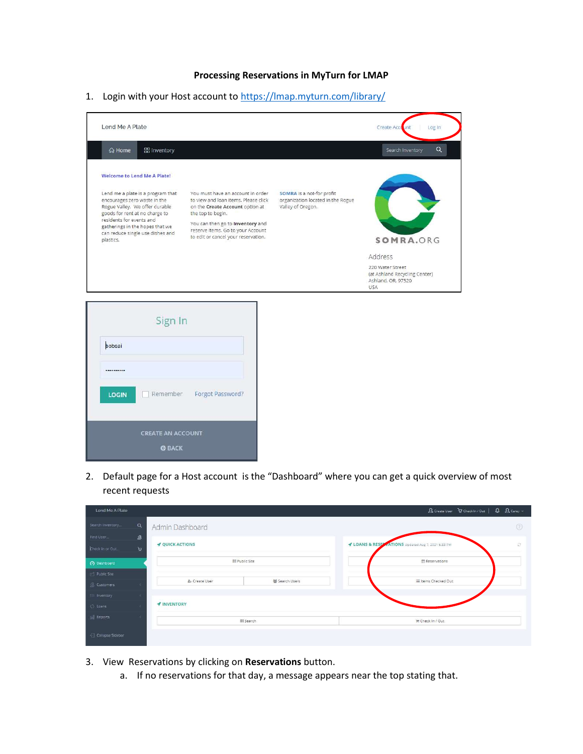## Processing Reservations in MyTurn for LMAP

1. Login with your Host account to https://lmap.myturn.com/library/



2. Default page for a Host account is the "Dashboard" where you can get a quick overview of most recent requests

| Lend Me A Plate                        |                                        | A Create User P Check In / Out   A A Carey v                     |
|----------------------------------------|----------------------------------------|------------------------------------------------------------------|
| Search Inventory                       | $\alpha$<br>Admin Dashboard            | $\circledcirc$                                                   |
| Find User                              | ø<br><b><i>&amp;</i></b> QUICK ACTIONS | LOANS & RESERVATIONS Updated Aug 7, 2021 6:33 PM<br>$\mathbb{C}$ |
| Check in or Out.<br><b>O</b> Dashboard | $\mathbf{F}$<br><b>III Public Site</b> | Reservations                                                     |
| Public Site                            |                                        |                                                                  |
| R Customers                            | 髻 Search Users<br>& Create User        | I Items Checked Out                                              |
| E Inventory<br>C) Loans                | <b>/</b> INVENTORY                     |                                                                  |
| ial Reports                            | <b>III</b> Search                      | <b>m</b> Check In / Out                                          |
| Collapse Sidebar                       |                                        |                                                                  |

3. View Reservations by clicking on Reservations button.

**CREATE AN ACCOUNT O BACK** 

a. If no reservations for that day, a message appears near the top stating that.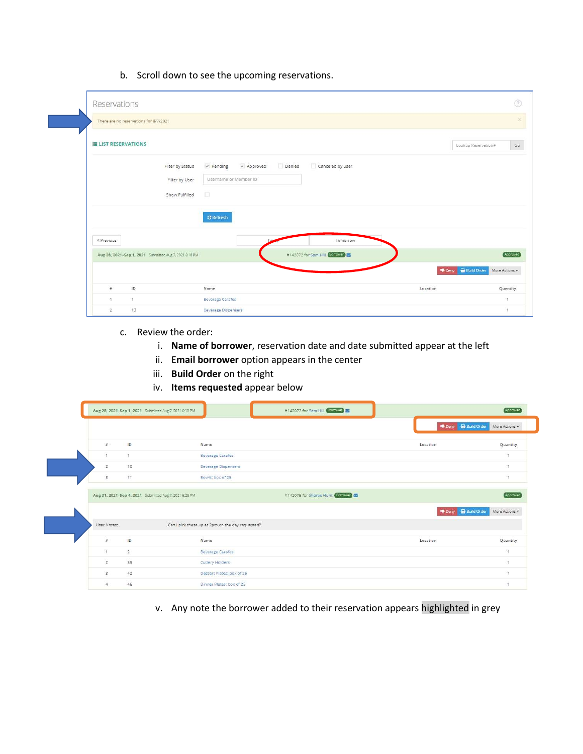b. Scroll down to see the upcoming reservations.

| There are no reservations for 8/7/2021                 |                                                         |                             |
|--------------------------------------------------------|---------------------------------------------------------|-----------------------------|
|                                                        |                                                         |                             |
| <b>ELIST RESERVATIONS</b>                              |                                                         | Lookup Reservation#         |
| Filter by Status                                       | Approved<br>Denied<br>Canceled by user<br>$\nu$ Pending |                             |
|                                                        | Username or Member ID<br>Filter by User                 |                             |
| Show Fulfilled                                         | $\Box$                                                  |                             |
|                                                        | $C$ Refresh                                             |                             |
| « Previous                                             | Tomorrow                                                |                             |
|                                                        | #142072 for Sam Hill Corrower                           |                             |
| Aug 28, 2021-Sep 1, 2021 Submitted Aug 7, 2021 6:18 PM |                                                         |                             |
|                                                        |                                                         | P Deny <b>R</b> Build Order |
| ID<br>$\#$                                             | Name                                                    | Location                    |

- c. Review the order:
	- i. Name of borrower, reservation date and date submitted appear at the left
	- ii. Email borrower option appears in the center
	- iii. Build Order on the right
	- iv. Items requested appear below

|                          |                | Aug 28, 2021-Sep 1, 2021 Submitted Aug 7, 2021 6:18 PM |                                                  | #142072 for Sam Hill Carrowers   |          |                           | Approved                                     |
|--------------------------|----------------|--------------------------------------------------------|--------------------------------------------------|----------------------------------|----------|---------------------------|----------------------------------------------|
|                          |                |                                                        |                                                  |                                  |          | Deny <b>R</b> Build Order | More Actions +                               |
| #                        | ID             |                                                        | Name                                             |                                  | Location |                           | Quantity                                     |
| 斉                        |                |                                                        | <b>Beverage Carafes</b>                          |                                  |          |                           | 1                                            |
| $\mathbf{2}$             | 10             |                                                        | <b>Beverage Dispensers</b>                       |                                  |          |                           | -1                                           |
| $\overline{\mathbf{3}}$  | 11             |                                                        | Bowls: box of 25                                 |                                  |          |                           | 1                                            |
|                          |                | Aug 31, 2021-Sep 4, 2021 Submitted Aug 7, 2021 6:28 PM |                                                  | #142075 for Sharee Hunt Borrowan |          |                           |                                              |
|                          |                |                                                        |                                                  |                                  |          |                           |                                              |
|                          |                |                                                        |                                                  |                                  |          | Deny <b>Build Order</b>   |                                              |
| User Notes:              |                |                                                        | Can I pick these up at 2pm on the day requested? |                                  |          |                           |                                              |
| #                        | ID             |                                                        | Name                                             |                                  | Location |                           |                                              |
| $\overline{1}$           | $\overline{2}$ |                                                        | <b>Beverage Carafes</b>                          |                                  |          |                           | Approved<br>More Actions *<br>Quantity<br>F. |
| $\overline{2}$           | 39             |                                                        | Cutlery Holders                                  |                                  |          |                           | $\sim$                                       |
| $\overline{\phantom{a}}$ | 42             |                                                        | Dessert Plates: box of 25                        |                                  |          |                           | ٠.                                           |

v. Any note the borrower added to their reservation appears highlighted in grey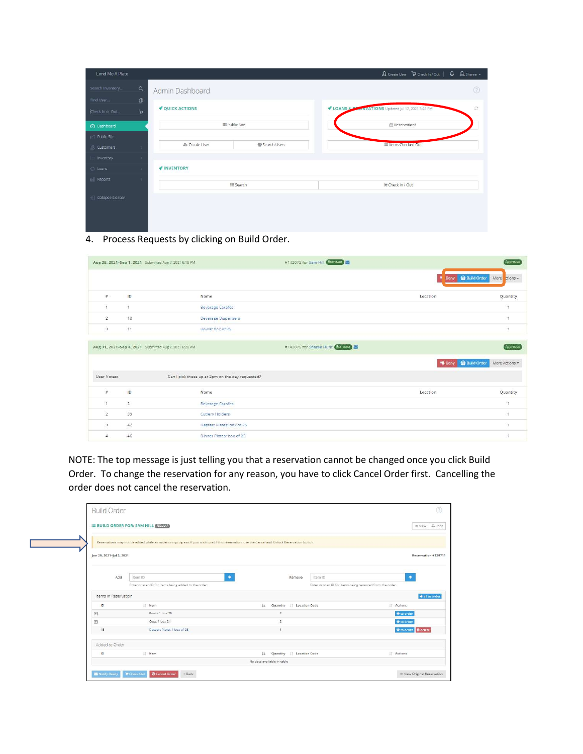| Lend Me A Plate    |                        |                        |                | B Create User V Check In / Out   Q B Sharee v                |
|--------------------|------------------------|------------------------|----------------|--------------------------------------------------------------|
| Search Inventory   | $\alpha$               | Admin Dashboard        |                | $\circledcirc$                                               |
| Find User          | ${\mathfrak{B}}$       |                        |                |                                                              |
| Check In or Out    | $\mathcal{A}$          | <b>V</b> QUICK ACTIONS |                | LOANS & BLACKWATIONS Updated Jul 12, 2021 3:42 PM<br>$\circ$ |
| O Dashboard        |                        | <b>EE Public Site</b>  |                | <b>M</b> Reservations                                        |
| Public Site        |                        |                        |                |                                                              |
| <b>R</b> Customers | $\mathcal{R}$          | & Create User          | 뜔 Search Users | <b>III</b> Items Checked Out                                 |
| $\equiv$ Inventory | ×                      |                        |                |                                                              |
| () Loans           | $\mathcal{R}^{\prime}$ | <b>/</b> INVENTORY     |                |                                                              |
| [in] Reports       | ×                      |                        | III Search     | <b>■ Check In / Out</b>                                      |
| Collapse Sidebar   |                        |                        |                |                                                              |
|                    |                        |                        |                |                                                              |
|                    |                        |                        |                |                                                              |
|                    |                        |                        |                |                                                              |

4. Process Requests by clicking on Build Order.

|                | Aug 28, 2021-Sep 1, 2021 Submitted Aug 7, 2021 6:18 PM |                                                  | #142072 for Sam Hill Borrower    |                                 | Approved                 |
|----------------|--------------------------------------------------------|--------------------------------------------------|----------------------------------|---------------------------------|--------------------------|
|                |                                                        |                                                  |                                  | Deny <b>C</b> Build Order<br>×. | More tions -             |
| #              | ID                                                     | Name                                             |                                  | Location                        | Quantity                 |
| ч.             | 14                                                     | <b>Beverage Carafes</b>                          |                                  |                                 | 1                        |
| $\mathbf{2}$   | 10                                                     | <b>Beverage Dispensers</b>                       |                                  |                                 | 4                        |
| 3              | 11                                                     | Bowls: box of 25                                 |                                  |                                 | 1                        |
|                | Aug 31, 2021-Sep 4, 2021 Submitted Aug 7, 2021 6:28 PM |                                                  | #142075 for Sharee Hunt Borrower | <b>IDeny G</b> Build Order      | Approved<br>More Actions |
| User Notes:    |                                                        | Can I pick these up at 2pm on the day requested? |                                  |                                 |                          |
| #              | ID                                                     | Name                                             |                                  | Location                        | Quantity                 |
| 1              | $\overline{2}$                                         | <b>Beverage Carafes</b>                          |                                  |                                 | ٠.                       |
| $\overline{a}$ | e ser<br>39                                            | Cutlery Holders                                  |                                  |                                 | 4                        |
| 3              | 42                                                     | Dessert Plates: box of 25                        |                                  |                                 | ٠.                       |
| $\Delta$       | 46                                                     | Dinner Plates: box of 25                         |                                  |                                 | 4                        |

NOTE: The top message is just telling you that a reservation cannot be changed once you click Build Order. To change the reservation for any reason, you have to click Cancel Order first. Cancelling the order does not cancel the reservation.

|                                                                                                                                                                                                                                                                                                                                                     | <b>Build Order</b>       |                                                                                                                                                   |     |                |                          |                                                                     |                                                       |
|-----------------------------------------------------------------------------------------------------------------------------------------------------------------------------------------------------------------------------------------------------------------------------------------------------------------------------------------------------|--------------------------|---------------------------------------------------------------------------------------------------------------------------------------------------|-----|----------------|--------------------------|---------------------------------------------------------------------|-------------------------------------------------------|
|                                                                                                                                                                                                                                                                                                                                                     |                          | <b>E BUILD ORDER FOR: SAM HILL CECULE</b>                                                                                                         |     |                |                          |                                                                     | ® View                                                |
|                                                                                                                                                                                                                                                                                                                                                     |                          | Reservations may not be edited while an order is in progress. If you wish to edit this reservation, use the Cancel and Unlock Reservation button. |     |                |                          |                                                                     |                                                       |
|                                                                                                                                                                                                                                                                                                                                                     | Jun 29, 2021-Jul 2, 2021 |                                                                                                                                                   |     |                |                          |                                                                     | Reservation #129711                                   |
|                                                                                                                                                                                                                                                                                                                                                     | Add                      | tem ID<br>Enter or scan ID for items being added to the order.                                                                                    | ٠   |                | Remove                   | Item ID<br>Enter or scan ID for items being removed from the order. | $\bullet$                                             |
|                                                                                                                                                                                                                                                                                                                                                     | Items in Reservation     |                                                                                                                                                   |     |                |                          |                                                                     | <b>V</b> all to order                                 |
| HD.                                                                                                                                                                                                                                                                                                                                                 |                          | IT Item:                                                                                                                                          | 1Ł  |                | Quantity   Location Code |                                                                     | Actions                                               |
| $\boxed{\pm}$                                                                                                                                                                                                                                                                                                                                       |                          | Bowls 1 box 25                                                                                                                                    |     | $\mathbf{2}$   |                          |                                                                     | $\bigtriangledown$ to order                           |
| $\begin{picture}(20,20) \put(0,0){\line(1,0){10}} \put(15,0){\line(1,0){10}} \put(15,0){\line(1,0){10}} \put(15,0){\line(1,0){10}} \put(15,0){\line(1,0){10}} \put(15,0){\line(1,0){10}} \put(15,0){\line(1,0){10}} \put(15,0){\line(1,0){10}} \put(15,0){\line(1,0){10}} \put(15,0){\line(1,0){10}} \put(15,0){\line(1,0){10}} \put(15,0){\line(1$ |                          | Cups 1 box 24                                                                                                                                     |     | $\overline{2}$ |                          |                                                                     | $\bigtriangledown$ to order                           |
|                                                                                                                                                                                                                                                                                                                                                     |                          | Dessert Plates 1 box of 25                                                                                                                        |     |                |                          |                                                                     | $\bigtriangledown$ to order $\bigtriangledown$ delete |
| 15                                                                                                                                                                                                                                                                                                                                                  |                          |                                                                                                                                                   |     |                |                          |                                                                     |                                                       |
|                                                                                                                                                                                                                                                                                                                                                     | Added to Order           |                                                                                                                                                   |     |                |                          |                                                                     |                                                       |
| HD.                                                                                                                                                                                                                                                                                                                                                 |                          | Il Item                                                                                                                                           | IE. |                | Quantity   Location Code |                                                                     | Actions                                               |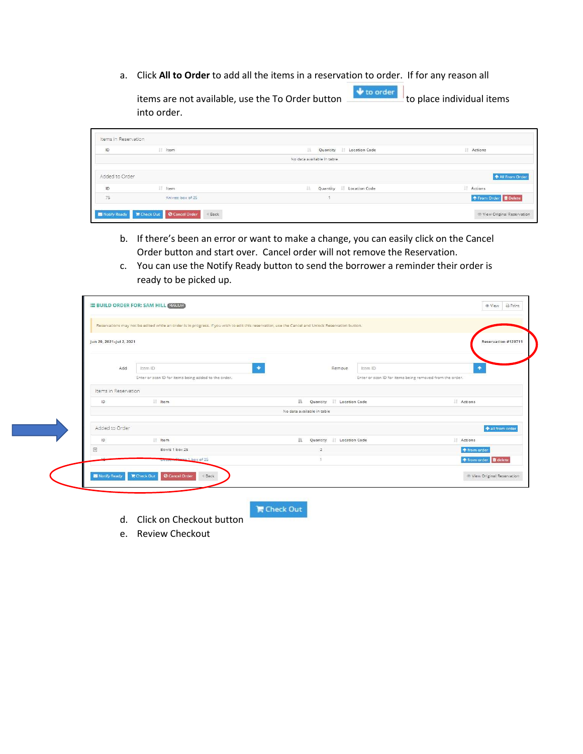a. Click All to Order to add all the items in a reservation to order. If for any reason all

items are not available, use the To Order button  $\frac{1}{\sqrt{1+\frac{1}{\sqrt{1+\frac{1}{\sqrt{1+\frac{1}{\sqrt{1+\frac{1}{\sqrt{1+\frac{1}{\sqrt{1+\frac{1}{\sqrt{1+\frac{1}{\sqrt{1+\frac{1}{\sqrt{1+\frac{1}{\sqrt{1+\frac{1}{\sqrt{1+\frac{1}{\sqrt{1+\frac{1}{\sqrt{1+\frac{1}{\sqrt{1+\frac{1}{\sqrt{1+\frac{1}{\sqrt{1+\frac{1}{\sqrt{1+\frac{1}{\sqrt{1+\frac{1}{\sqrt{1$ into order.

| 1D             | I Item            | I£<br>Quantity<br>Location Code | Actions                      |
|----------------|-------------------|---------------------------------|------------------------------|
|                |                   | No data available in table      |                              |
| Added to Order |                   |                                 | <b>All From Order</b>        |
| $\mathsf{ID}$  | IT Item           | 压<br>Quantity   Location Code   | Actions                      |
| 75             | Knives: box of 25 |                                 | ↑ From Order <b>D</b> Delete |

- b. If there's been an error or want to make a change, you can easily click on the Cancel Order button and start over. Cancel order will not remove the Reservation.
- c. You can use the Notify Ready button to send the borrower a reminder their order is ready to be picked up.

| Jun 29, 2021-Jul 2, 2021 |                                                      |                                |                                                          | Reservation #129711          |
|--------------------------|------------------------------------------------------|--------------------------------|----------------------------------------------------------|------------------------------|
| Add                      | ٠<br>Item ID                                         | Remove                         | Item ID                                                  | ٠                            |
|                          | Enter or scan ID for items being added to the order. |                                | Enter or scan ID for items being removed from the order. |                              |
| Items in Reservation     |                                                      |                                |                                                          |                              |
| ID                       | IT Item                                              | 15<br>Quantity   Location Code |                                                          | IT Actions                   |
|                          |                                                      | No data available in table     |                                                          |                              |
| Added to Order           |                                                      |                                |                                                          | + all from order             |
| ID                       | Item                                                 | 11<br>Quantity   Location Code |                                                          | Actions                      |
| $\boxed{\mp}$            | Bowls 1 box 25                                       | $\overline{2}$                 |                                                          | ↑ from order                 |
|                          | Dessert Places 1 box of 25                           |                                |                                                          | ↑ from order <b>■</b> delete |

 $\blacksquare$  Check Out

- d. Click on Checkout button
- e. Review Checkout